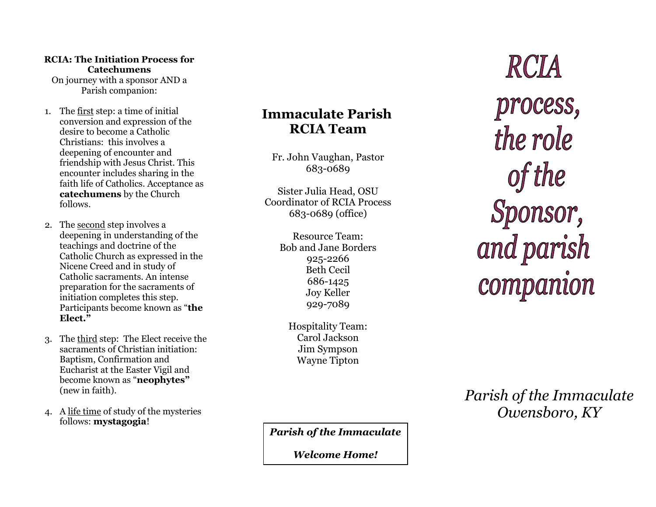#### **RCIA: The Initiation Process for Catechumens**

On journey with a sponsor AND a Parish companion:

- 1. The first step: a time of initial conversion and expression of the desire to become a Catholic Christians: this involves a deepening of encounter and friendship with Jesus Christ. This encounter includes sharing in the faith life of Catholics. Acceptance as **catechumens** by the Church follows .
- 2. The second step involves a deepening in understanding of the teachings and doctrine of the Catholic Church as expressed in the Nicene Creed and in study of Catholic sacraments. An intense preparation for the sacraments of initiation completes this step. Participants become known as "**the Elect. "**
- 3. The third step: The Elect receive the sacraments of Christian initiation: Baptism, Confirmation and Eucharist at the Easter Vigil and become known as "**neophytes "** (new in faith).
- 4. A life time of study of the mysteries follows: **mystagogia** !

# **Immaculate Parish RCIA Team**

Fr. John Vaughan, Pastor 683 -0689

Sister Julia Head, OSU Coordinator of RCIA Process 683 -0689 (office)

> Resource Team: Bob and Jane Borders 925 -2266 Beth Cecil 686 -1425 Joy Keller 929 -7089

Hospitality Team: Carol Jackson Jim Sympson Wayne Tipton

process,<br>the role of the Sponsor, and parish companion

RCIA

*Parish of the Immaculate Owensboro, KY*

*Parish of the Immaculate*

*Welcome Home!*